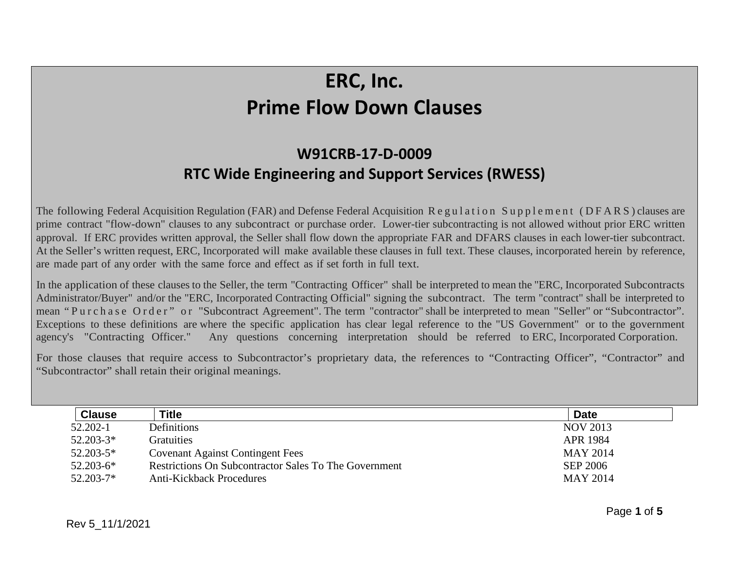## **ERC, Inc. Prime Flow Down Clauses**

## **W91CRB-17-D-0009 RTC Wide Engineering and Support Services (RWESS)**

The following Federal Acquisition Regulation (FAR) and Defense Federal Acquisition Regulation Supplement (DFARS) clauses are prime contract "flow-down" clauses to any subcontract or purchase order. Lower-tier subcontracting is not allowed without prior ERC written approval. If ERC provides written approval, the Seller shall flow down the appropriate FAR and DFARS clauses in each lower-tier subcontract. At the Seller's written request, ERC, Incorporated will make available these clauses in full text. These clauses, incorporated herein by reference, are made part of any order with the same force and effect as if set forth in full text.

In the application of these clauses to the Seller, the term "Contracting Officer" shall be interpreted to mean the "ERC, Incorporated Subcontracts Administrator/Buyer" and/or the "ERC, Incorporated Contracting Official" signing the subcontract. The term "contract" shall be interpreted to mean "Purchase Order" or "Subcontract Agreement". The term "contractor" shall be interpreted to mean "Seller" or "Subcontractor". Exceptions to these definitions are where the specific application has clear legal reference to the "US Government" or to the government agency's "Contracting Officer." Any questions concerning interpretation should be referred to ERC, Incorporated Corporation.

For those clauses that require access to Subcontractor's proprietary data, the references to "Contracting Officer", "Contractor" and "Subcontractor" shall retain their original meanings.

| <b>Clause</b> | <b>Title</b>                                                 | <b>Date</b>     |
|---------------|--------------------------------------------------------------|-----------------|
| 52.202-1      | <b>Definitions</b>                                           | <b>NOV 2013</b> |
| $52.203 - 3*$ | <b>Gratuities</b>                                            | <b>APR 1984</b> |
| $52.203 - 5*$ | <b>Covenant Against Contingent Fees</b>                      | <b>MAY 2014</b> |
| $52.203 - 6*$ | <b>Restrictions On Subcontractor Sales To The Government</b> | <b>SEP 2006</b> |
| $52.203 - 7*$ | <b>Anti-Kickback Procedures</b>                              | <b>MAY 2014</b> |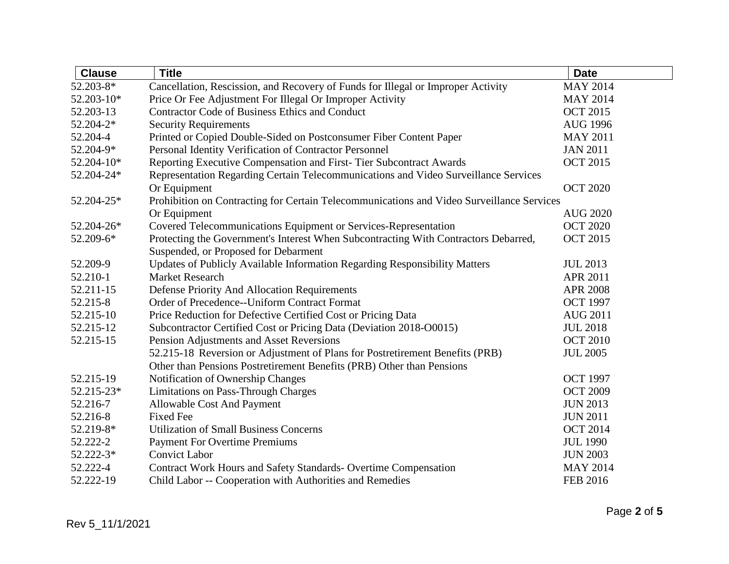| <b>Clause</b> | <b>Title</b>                                                                              | <b>Date</b>     |
|---------------|-------------------------------------------------------------------------------------------|-----------------|
| 52.203-8*     | Cancellation, Rescission, and Recovery of Funds for Illegal or Improper Activity          | <b>MAY 2014</b> |
| 52.203-10*    | Price Or Fee Adjustment For Illegal Or Improper Activity                                  | <b>MAY 2014</b> |
| 52.203-13     | <b>Contractor Code of Business Ethics and Conduct</b>                                     | <b>OCT 2015</b> |
| 52.204-2*     | <b>Security Requirements</b>                                                              | <b>AUG 1996</b> |
| 52.204-4      | Printed or Copied Double-Sided on Postconsumer Fiber Content Paper                        | <b>MAY 2011</b> |
| 52.204-9*     | Personal Identity Verification of Contractor Personnel                                    | <b>JAN 2011</b> |
| 52.204-10*    | Reporting Executive Compensation and First-Tier Subcontract Awards                        | <b>OCT 2015</b> |
| 52.204-24*    | Representation Regarding Certain Telecommunications and Video Surveillance Services       |                 |
|               | Or Equipment                                                                              | <b>OCT 2020</b> |
| 52.204-25*    | Prohibition on Contracting for Certain Telecommunications and Video Surveillance Services |                 |
|               | Or Equipment                                                                              | <b>AUG 2020</b> |
| 52.204-26*    | Covered Telecommunications Equipment or Services-Representation                           | <b>OCT 2020</b> |
| 52.209-6*     | Protecting the Government's Interest When Subcontracting With Contractors Debarred,       | <b>OCT 2015</b> |
|               | Suspended, or Proposed for Debarment                                                      |                 |
| 52.209-9      | Updates of Publicly Available Information Regarding Responsibility Matters                | <b>JUL 2013</b> |
| 52.210-1      | Market Research                                                                           | APR 2011        |
| 52.211-15     | Defense Priority And Allocation Requirements                                              | <b>APR 2008</b> |
| 52.215-8      | Order of Precedence--Uniform Contract Format                                              | <b>OCT 1997</b> |
| 52.215-10     | Price Reduction for Defective Certified Cost or Pricing Data                              | <b>AUG 2011</b> |
| 52.215-12     | Subcontractor Certified Cost or Pricing Data (Deviation 2018-00015)                       | <b>JUL 2018</b> |
| 52.215-15     | Pension Adjustments and Asset Reversions                                                  | <b>OCT 2010</b> |
|               | 52.215-18 Reversion or Adjustment of Plans for Postretirement Benefits (PRB)              | <b>JUL 2005</b> |
|               | Other than Pensions Postretirement Benefits (PRB) Other than Pensions                     |                 |
| 52.215-19     | Notification of Ownership Changes                                                         | <b>OCT 1997</b> |
| 52.215-23*    | <b>Limitations on Pass-Through Charges</b>                                                | <b>OCT 2009</b> |
| 52.216-7      | Allowable Cost And Payment                                                                | <b>JUN 2013</b> |
| 52.216-8      | <b>Fixed Fee</b>                                                                          | <b>JUN 2011</b> |
| 52.219-8*     | <b>Utilization of Small Business Concerns</b>                                             | <b>OCT 2014</b> |
| 52.222-2      | <b>Payment For Overtime Premiums</b>                                                      | <b>JUL 1990</b> |
| 52.222-3*     | <b>Convict Labor</b>                                                                      | <b>JUN 2003</b> |
| 52.222-4      | Contract Work Hours and Safety Standards- Overtime Compensation                           | <b>MAY 2014</b> |
| 52.222-19     | Child Labor -- Cooperation with Authorities and Remedies                                  | <b>FEB 2016</b> |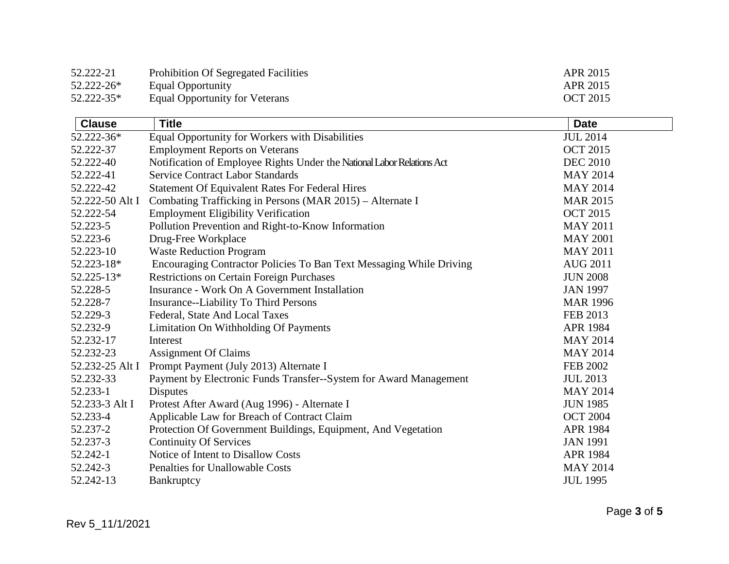| 52.222-21      | <b>Prohibition Of Segregated Facilities</b> | APR 2015        |
|----------------|---------------------------------------------|-----------------|
| 52.222-26*     | Equal Opportunity                           | APR 2015        |
| $52.222 - 35*$ | Equal Opportunity for Veterans              | <b>OCT 2015</b> |

| <b>Clause</b>   | <b>Title</b>                                                           | <b>Date</b>     |
|-----------------|------------------------------------------------------------------------|-----------------|
| 52.222-36*      | Equal Opportunity for Workers with Disabilities                        | <b>JUL 2014</b> |
| 52.222-37       | <b>Employment Reports on Veterans</b>                                  | <b>OCT 2015</b> |
| 52.222-40       | Notification of Employee Rights Under the National Labor Relations Act | <b>DEC 2010</b> |
| 52.222-41       | <b>Service Contract Labor Standards</b>                                | <b>MAY 2014</b> |
| 52.222-42       | <b>Statement Of Equivalent Rates For Federal Hires</b>                 | <b>MAY 2014</b> |
| 52.222-50 Alt I | Combating Trafficking in Persons (MAR 2015) - Alternate I              | <b>MAR 2015</b> |
| 52.222-54       | <b>Employment Eligibility Verification</b>                             | <b>OCT 2015</b> |
| 52.223-5        | Pollution Prevention and Right-to-Know Information                     | <b>MAY 2011</b> |
| 52.223-6        | Drug-Free Workplace                                                    | <b>MAY 2001</b> |
| 52.223-10       | <b>Waste Reduction Program</b>                                         | <b>MAY 2011</b> |
| 52.223-18*      | Encouraging Contractor Policies To Ban Text Messaging While Driving    | <b>AUG 2011</b> |
| 52.225-13*      | <b>Restrictions on Certain Foreign Purchases</b>                       | <b>JUN 2008</b> |
| 52.228-5        | Insurance - Work On A Government Installation                          | <b>JAN 1997</b> |
| 52.228-7        | Insurance--Liability To Third Persons                                  | <b>MAR 1996</b> |
| 52.229-3        | Federal, State And Local Taxes                                         | <b>FEB 2013</b> |
| 52.232-9        | Limitation On Withholding Of Payments                                  | <b>APR 1984</b> |
| 52.232-17       | Interest                                                               | <b>MAY 2014</b> |
| 52.232-23       | <b>Assignment Of Claims</b>                                            | <b>MAY 2014</b> |
| 52.232-25 Alt I | Prompt Payment (July 2013) Alternate I                                 | <b>FEB 2002</b> |
| 52.232-33       | Payment by Electronic Funds Transfer--System for Award Management      | <b>JUL 2013</b> |
| 52.233-1        | <b>Disputes</b>                                                        | <b>MAY 2014</b> |
| 52.233-3 Alt I  | Protest After Award (Aug 1996) - Alternate I                           | <b>JUN 1985</b> |
| 52.233-4        | Applicable Law for Breach of Contract Claim                            | <b>OCT 2004</b> |
| 52.237-2        | Protection Of Government Buildings, Equipment, And Vegetation          | <b>APR 1984</b> |
| 52.237-3        | <b>Continuity Of Services</b>                                          | <b>JAN 1991</b> |
| 52.242-1        | Notice of Intent to Disallow Costs                                     | APR 1984        |
| 52.242-3        | <b>Penalties for Unallowable Costs</b>                                 | <b>MAY 2014</b> |
| 52.242-13       | Bankruptcy                                                             | <b>JUL 1995</b> |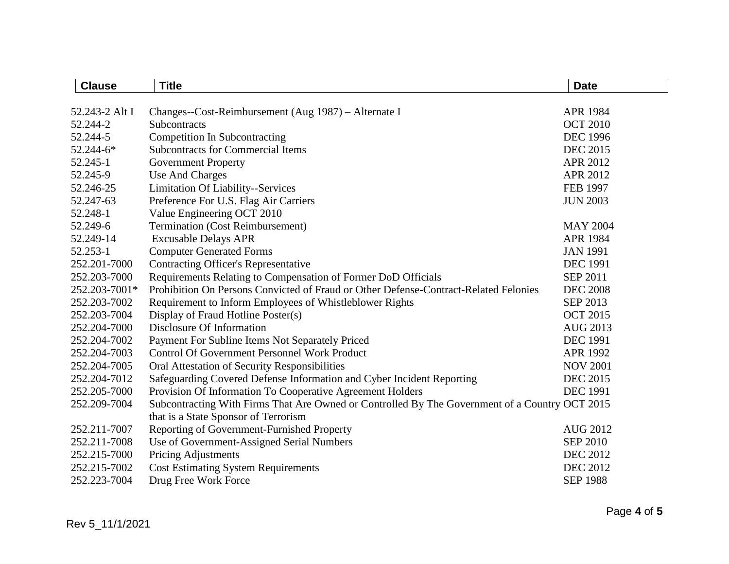| <b>Clause</b>  | <b>Title</b>                                                                                   | <b>Date</b>     |
|----------------|------------------------------------------------------------------------------------------------|-----------------|
|                |                                                                                                |                 |
| 52.243-2 Alt I | Changes--Cost-Reimbursement (Aug 1987) – Alternate I                                           | <b>APR 1984</b> |
| 52.244-2       | Subcontracts                                                                                   | <b>OCT 2010</b> |
| 52.244-5       | Competition In Subcontracting                                                                  | <b>DEC 1996</b> |
| $52.244 - 6*$  | <b>Subcontracts for Commercial Items</b>                                                       | <b>DEC 2015</b> |
| 52.245-1       | <b>Government Property</b>                                                                     | APR 2012        |
| 52.245-9       | <b>Use And Charges</b>                                                                         | APR 2012        |
| 52.246-25      | <b>Limitation Of Liability--Services</b>                                                       | <b>FEB 1997</b> |
| 52.247-63      | Preference For U.S. Flag Air Carriers                                                          | <b>JUN 2003</b> |
| 52.248-1       | Value Engineering OCT 2010                                                                     |                 |
| 52.249-6       | <b>Termination (Cost Reimbursement)</b>                                                        | <b>MAY 2004</b> |
| 52.249-14      | <b>Excusable Delays APR</b>                                                                    | <b>APR 1984</b> |
| 52.253-1       | <b>Computer Generated Forms</b>                                                                | <b>JAN 1991</b> |
| 252.201-7000   | <b>Contracting Officer's Representative</b>                                                    | <b>DEC 1991</b> |
| 252.203-7000   | Requirements Relating to Compensation of Former DoD Officials                                  | <b>SEP 2011</b> |
| 252.203-7001*  | Prohibition On Persons Convicted of Fraud or Other Defense-Contract-Related Felonies           | <b>DEC 2008</b> |
| 252.203-7002   | Requirement to Inform Employees of Whistleblower Rights                                        | SEP 2013        |
| 252.203-7004   | Display of Fraud Hotline Poster(s)                                                             | <b>OCT 2015</b> |
| 252.204-7000   | Disclosure Of Information                                                                      | <b>AUG 2013</b> |
| 252.204-7002   | Payment For Subline Items Not Separately Priced                                                | <b>DEC 1991</b> |
| 252.204-7003   | <b>Control Of Government Personnel Work Product</b>                                            | APR 1992        |
| 252.204-7005   | Oral Attestation of Security Responsibilities                                                  | <b>NOV 2001</b> |
| 252.204-7012   | Safeguarding Covered Defense Information and Cyber Incident Reporting                          | <b>DEC 2015</b> |
| 252.205-7000   | Provision Of Information To Cooperative Agreement Holders                                      | <b>DEC 1991</b> |
| 252.209-7004   | Subcontracting With Firms That Are Owned or Controlled By The Government of a Country OCT 2015 |                 |
|                | that is a State Sponsor of Terrorism                                                           |                 |
| 252.211-7007   | Reporting of Government-Furnished Property                                                     | <b>AUG 2012</b> |
| 252.211-7008   | Use of Government-Assigned Serial Numbers                                                      | <b>SEP 2010</b> |
| 252.215-7000   | Pricing Adjustments                                                                            | <b>DEC 2012</b> |
| 252.215-7002   | <b>Cost Estimating System Requirements</b>                                                     | <b>DEC 2012</b> |
| 252.223-7004   | Drug Free Work Force                                                                           | <b>SEP 1988</b> |